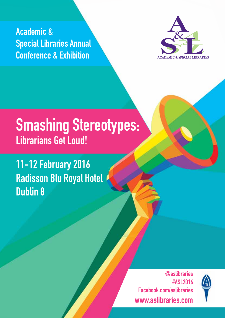Academic & Special Libraries Annual Conference & Exhibition



# Smashing Stereotypes: Librarians Get Loud!

11-12 February 2016 Radisson Blu Royal Hotel Dublin 8

> @aslibraries #ASL2016 Facebook.com/aslibraries www.aslibraries.com



1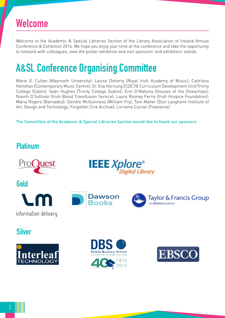# Welcome

Welcome to the Academic & Special Libraries Section of the Library Association of Ireland Annual Conference & Exhibition 2016. We hope you enjoy your time at the conference and take the opportunity to network with colleagues, view the poster exhibition and visit sponsors' and exhibitors' stands.

# A&SL Conference Organising Committee

Marie G. Cullen (Maynooth University); Laoise Doherty (Royal Irish Academy of Music); Caitríona Honohan (Contemporary Music Centre); Dr. Eva Hornung (CDETB Curriculum Development Unit/Trinity College Dublin); Seán Hughes (Trinity College Dublin); Erin O'Mahony (Houses of the Oireachtas); Niamh O'Sullivan (Irish Blood Transfusion Service); Laura Rooney Ferris (Irish Hospice Foundation); Maria Rogers (Barnados); Deirdre McGuinness (William Fry); Tom Maher (Dun Laoghaire Institute of Art, Design and Technology; Forgotten Zine Archive); Lorraine Curran (Freelance)

The Committee of the Academic & Special Libraries Section would like to thank our sponsors

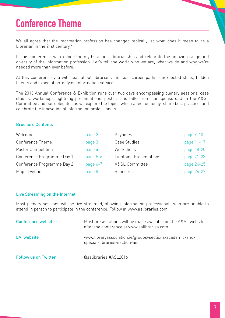# Conference Theme

We all agree that the information profession has changed radically, so what does it mean to be a Librarian in the 21st century?

In this conference, we explode the myths about Librarianship and celebrate the amazing range and diversity of the information profession. Let's tell the world who we are, what we do and why we're needed more than ever before.

At this conference you will hear about librarians' unusual career paths, unexpected skills, hidden talents and expectation-defying information services.

The 2016 Annual Conference & Exhibition runs over two days encompassing plenary sessions, case studies, workshops, lightning presentations, posters and talks from our sponsors. Join the A&SL Committee and our delegates as we explore the topics which affect us today, share best practice, and celebrate the innovation of information professionals.

#### Brochure Contents

| Welcome                    | page 2   | Keynotes                       | page 9-10  |
|----------------------------|----------|--------------------------------|------------|
| Conference Theme           | page 3   | Case Studies                   | page 11-17 |
| <b>Poster Competition</b>  | page 4   | Workshops                      | page 18-20 |
| Conference Programme Day 1 | page 5-6 | <b>Lightning Presentations</b> | page 21-23 |
| Conference Programme Day 2 | page 6-7 | <b>A&amp;SL Committee</b>      | page 24-25 |
| Map of venue               | page 8   | Sponsors                       | page 26-27 |

#### Live Streaming on the Internet

Most plenary sessions will be live-streamed, allowing information professionals who are unable to attend in person to participate in the conference. Follow at www.aslibraries.com

| <b>Conference website</b>   | Most presentations will be made available on the A&SL website<br>after the conference at www.aslibraries.com |
|-----------------------------|--------------------------------------------------------------------------------------------------------------|
| LAI website                 | www.libraryassociation.ie/groups-sections/academic-and-<br>special-libraries-section-asl                     |
| <b>Follow us on Twitter</b> | Gaslibraries #ASL2016                                                                                        |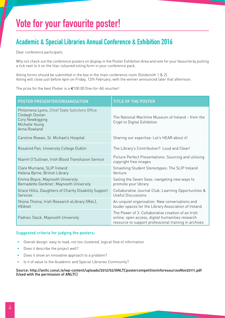# Vote for your favourite poster!

## Academic & Special Libraries Annual Conference & Exhibition 2016

Dear conference participant,

Why not check out the conference posters on display in the Poster Exhibition Area and vote for your favourite by putting a tick next to it on the lilac coloured voting form in your conference pack.

Voting forms should be submitted in the box in the main conference room (Goldsmith 1 & 2). Voting will close just before 4pm on Friday, 12th February, with the winner announced later that afternoon.

The prize for the best Poster is a €100.00 One-for-All voucher!

| POSTER PRESENTER/ORGANISATION                                                                                         | <b>TITLE OF THE POSTER</b>                                                                                                                                      |
|-----------------------------------------------------------------------------------------------------------------------|-----------------------------------------------------------------------------------------------------------------------------------------------------------------|
| Philomena Lyons, Chief State Solicitors Office<br>Clodagh Doolan<br>Cory Newbigging<br>Michelle Young<br>Anna Rowland | The National Maritime Museum of Ireland – from the<br>Crypt to Digital Exhibition                                                                               |
| Caroline Rowan, St. Michael's Hospital                                                                                | Sharing our expertise: Let's HEAR about it!                                                                                                                     |
| Rosalind Pan, University College Dublin                                                                               | The Library's Contribution? Loud and Clear!                                                                                                                     |
| Niamh O'Sullivan, Irish Blood Transfusion Service                                                                     | Picture Perfect Presentations: Sourcing and utilising<br>copyright free images                                                                                  |
| Clare Murnane, SLIP Ireland<br>Helena Byrne, British Library                                                          | Smashing Student Stereotypes: The SLIP Ireland<br>Venture                                                                                                       |
| Emma Boyce, Maynooth University<br>Bernadette Gardiner, Maynooth University                                           | Sailing the Seven Seas: navigating new ways to<br>promote your library                                                                                          |
| Grace Hillis, Daughters of Charity Disability Support<br><b>Services</b>                                              | Collaborative Journal Club: Learning Opportunities &<br>Useful Discussions                                                                                      |
| Shona Thoma, Irish Research eLibrary (IReL),<br><b>HEAnet</b>                                                         | An unquiet organisation: New conversations and<br>louder spaces for the Library Association of Ireland                                                          |
| Padraic Stack, Maynooth University                                                                                    | The Power of 3: Collaborative creation of an Irish<br>online, open access, digital humanities research<br>resource to support professional training in archives |

#### Suggested criteria for judging the posters:

- Overall design: easy to read, not too clustered, logical flow of information
- Does it describe the project well?
- Does it show an innovative approach to a problem?
- Is it of value to the Academic and Special Libraries Community?

#### Source: http://anltc.conul.ie/wp-content/uploads/2012/02/ANLTCpostercompetitioninforesourcesNov20111.pdf (Used with the permission of ANLTC)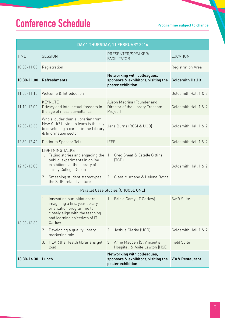# Conference Schedule Programme subject to change

| DAY 1 THURSDAY, 11 FEBRUARY 2016   |                                                                                                                                                                                           |                                                                                         |                         |
|------------------------------------|-------------------------------------------------------------------------------------------------------------------------------------------------------------------------------------------|-----------------------------------------------------------------------------------------|-------------------------|
| <b>TIME</b>                        | <b>SESSION</b>                                                                                                                                                                            | PRESENTER/SPEAKER/<br><b>FACILITATOR</b>                                                | LOCATION                |
| 10.30-11.00                        | Registration                                                                                                                                                                              |                                                                                         | Registration Area       |
| 10.30-11.00                        | Refreshments                                                                                                                                                                              | Networking with colleagues,<br>sponsors & exhibitors, visiting the<br>poster exhibition | <b>Goldsmith Hall 3</b> |
| 11.00-11.10                        | Welcome & Introduction                                                                                                                                                                    |                                                                                         | Goldsmith Hall 1 & 2    |
| 11.10-12.00                        | <b>KEYNOTE 1</b><br>Privacy and intellectual freedom in<br>the age of mass surveillance                                                                                                   | Alison Macrina (Founder and<br>Director of the Library Freedom<br>Project)              | Goldsmith Hall 1 & 2    |
| 12.00-12.30                        | Who's louder than a librarian from<br>New York? Loving to learn is the key<br>to developing a career in the Library<br>& Information sector                                               | Jane Burns (RCSI & UCD)                                                                 | Goldsmith Hall 1 & 2    |
| 12.30-12.40                        | Platinum Sponsor Talk                                                                                                                                                                     | <b>IEEE</b>                                                                             | Goldsmith Hall 1 & 2    |
| 12.40-13.00                        | <b>LIGHTNING TALKS</b><br>1. Telling stories and engaging the 1.<br>public: experiments in online<br>exhibitions at the Library of<br><b>Trinity College Dublin</b>                       | Greg Sheaf & Estelle Gittins<br>(TCD)                                                   | Goldsmith Hall 1 & 2    |
|                                    | 2. Smashing student stereotypes:<br>the SLIP Ireland venture                                                                                                                              | 2. Clare Murnane & Helena Byrne                                                         |                         |
| Parallel Case Studies (CHOOSE ONE) |                                                                                                                                                                                           |                                                                                         |                         |
| 13.00-13.30                        | Innovating our initiation: re-<br>$1_{\cdot}$<br>imagining a first year library<br>orientation programme to<br>closely align with the teaching<br>and learning objectives of IT<br>Carlow | Brigid Carey (IT Carlow)<br>1.                                                          | Swift Suite             |
|                                    | 2.<br>Developing a quality library<br>marketing mix                                                                                                                                       | Joshua Clarke (UCD)<br>2.                                                               | Goldsmith Hall 1 & 2    |
|                                    | HEAR the Health librarians get<br>3.<br>loud!                                                                                                                                             | Anne Madden (St Vincent's<br>3.<br>Hospital) & Aoife Lawton (HSE)                       | <b>Field Suite</b>      |
| 13.30-14.30                        | Lunch                                                                                                                                                                                     | Networking with colleagues,<br>sponsors & exhibitors, visiting the<br>poster exhibition | V'n V Restaurant        |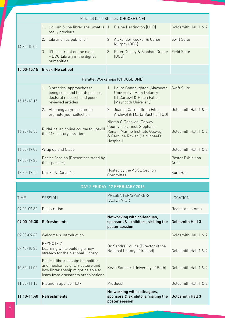| Parallel Case Studies (CHOOSE ONE) |                                                                                                                    |                                                                                                                                           |                           |
|------------------------------------|--------------------------------------------------------------------------------------------------------------------|-------------------------------------------------------------------------------------------------------------------------------------------|---------------------------|
|                                    | Gollum & the librarians: what is 1. Elaine Harrington (UCC)<br>$1_{\cdot}$<br>really precious                      |                                                                                                                                           | Goldsmith Hall 1 & 2      |
| 14.30-15.00                        | Librarian as publisher<br>2.                                                                                       | Alexander Kouker & Conor<br>$\mathcal{P}_{\mathcal{P}}$<br>Murphy (DBS)                                                                   | Swift Suite               |
|                                    | 3.<br>It'll be alright on the night<br>- DCU Library in the digital<br>humanities                                  | Peter Dudley & Siobhán Dunne<br>3.<br>(DCU)                                                                                               | <b>Field Suite</b>        |
| 15.00-15.15                        | <b>Break (No coffee)</b>                                                                                           |                                                                                                                                           |                           |
| Parallel Workshops (CHOOSE ONE)    |                                                                                                                    |                                                                                                                                           |                           |
| 15.15-16.15                        | 1. 3 practical approaches to<br>being seen and heard: posters,<br>doctoral research and peer-<br>reviewed articles | 1. Laura Connaughton (Maynooth<br>University), Mary Delaney<br>(IT Carlow) & Helen Fallon<br>(Maynooth University)                        | <b>Swift Suite</b>        |
|                                    | 2. Planning a symposium to<br>promote your collection                                                              | Joanne Carroll (Irish Film<br>2.<br>Archive) & Marta Bustillo (TCD)                                                                       | Goldsmith Hall 1 & 2      |
| 16.20-16.50                        | Rudaí 23: an online course to upskill<br>the 21 <sup>st</sup> century librarian                                    | Niamh O'Donovan (Galway<br>County Libraries), Stephanie<br>Ronan (Marine Institute Galway)<br>& Caroline Rowan (St Michael's<br>Hospital) | Goldsmith Hall 1 & 2      |
| 16.50-17.00                        | Wrap up and Close                                                                                                  |                                                                                                                                           | Goldsmith Hall 1 & 2      |
| 17.00-17.30                        | Poster Session (Presenters stand by<br>their posters)                                                              |                                                                                                                                           | Poster Exhibition<br>Area |
| 17:30-19.00                        | Drinks & Canapés                                                                                                   | Hosted by the A&SL Section<br>Committee                                                                                                   | Sure Bar                  |

| DAY 2 FRIDAY, 12 FEBRUARY 2016 |
|--------------------------------|
|                                |
|                                |

| <b>TIME</b>     | <b>SESSION</b>                                                                                                                                       | PRESENTER/SPEAKER/<br><b>FACILITATOR</b>                                             | LOCATION                |
|-----------------|------------------------------------------------------------------------------------------------------------------------------------------------------|--------------------------------------------------------------------------------------|-------------------------|
| $09.00 - 09.30$ | Registration                                                                                                                                         |                                                                                      | Registration Area       |
| 09.00-09.30     | Refreshments                                                                                                                                         | Networking with colleagues,<br>sponsors & exhibitors, visiting the<br>poster session | <b>Goldsmith Hall 3</b> |
| 09.30-09.40     | Welcome & Introduction                                                                                                                               |                                                                                      | Goldsmith Hall 1 & 2    |
| $09.40 - 10.30$ | KEYNOTE 2<br>Learning while building a new<br>strategy for the National Library                                                                      | Dr. Sandra Collins (Director of the<br>National Library of Ireland)                  | Goldsmith Hall 1 & 2    |
| 10.30-11.00     | Radical librarianship: the politics<br>and mechanics of DIY culture and<br>how librarianship might be able to<br>learn from grassroots organisations | Kevin Sanders (University of Bath)                                                   | Goldsmith Hall 1 & 2    |
| 11.00-11.10     | Platinum Sponsor Talk                                                                                                                                | ProQuest                                                                             | Goldsmith Hall 1 & 2    |
| 11.10-11.40     | Refreshments                                                                                                                                         | Networking with colleagues,<br>sponsors & exhibitors, visiting the<br>poster session | <b>Goldsmith Hall 3</b> |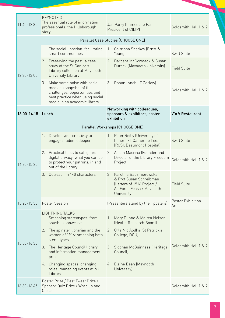| 11.40-12.30 | KEYNOTE 3<br>The essential role of information<br>professionals: the Hillsborough<br>story                                                                     | Jan Parry (Immediate Past<br>President of CILIPI                                                                                  | Goldsmith Hall 1 & 2      |
|-------------|----------------------------------------------------------------------------------------------------------------------------------------------------------------|-----------------------------------------------------------------------------------------------------------------------------------|---------------------------|
|             |                                                                                                                                                                | Parallel Case Studies (CHOOSE ONE)                                                                                                |                           |
| 12.30-13.00 | The social librarian: facilitating<br>1.<br>smart communities                                                                                                  | Caitriona Sharkey (Ernst &<br>1.<br>Young)                                                                                        | Swift Suite               |
|             | 2. Preserving the past: a case<br>study of the St Canice's<br>Library collection at Maynooth<br>University Library                                             | Barbara McCormack & Susan<br>2.<br>Durack (Maynooth University)                                                                   | <b>Field Suite</b>        |
|             | 3. Make some noise with social<br>media: a snapshot of the<br>challenges, opportunities and<br>best practice when using social<br>media in an academic library | Rónán Lynch (IT Carlow)<br>3.                                                                                                     | Goldsmith Hall 1 & 2      |
| 13.00-14.15 | Lunch                                                                                                                                                          | Networking with colleagues,<br>sponsors & exhibitors, poster<br>exhibition                                                        | V'n V Restaurant          |
|             |                                                                                                                                                                | Parallel Workshops (CHOOSE ONE)                                                                                                   |                           |
| 14.20-15.20 | Develop your creativity to<br>1.<br>engage students deeper                                                                                                     | Peter Reilly (University of<br>$1_{\ldots}$<br>Limerick), Catherine Lee,<br>(RCSI, Beaumont Hospital)                             | Swift Suite               |
|             | 2.<br>Practical tools to safeguard<br>digital privacy: what you can do<br>to protect your patrons, in and<br>out of the library                                | Alison Macrina (Founder and<br>2.<br>Director of the Library Freedom<br>Project)                                                  | Goldsmith Hall 1 & 2      |
|             | Outreach in 140 characters<br>3.                                                                                                                               | Karolina Badzmierowska<br>3.<br>& Prof Susan Schreibman<br>(Letters of 1916 Project /<br>An Foras Feasa / Maynooth<br>University) | <b>Field Suite</b>        |
| 15.20-15.50 | <b>Poster Session</b>                                                                                                                                          | (Presenters stand by their posters)                                                                                               | Poster Exhibition<br>Area |
| 15.50-16.30 | <b>LIGHTNING TALKS</b><br>Smashing stereotypes: from<br>shush to showcase                                                                                      | Mary Dunne & Mairea Nelson<br>$1_{\cdot}$<br>(Health Research Board)                                                              |                           |
|             | 2. The spinster librarian and the<br>women of 1916: smashing both<br>stereotypes                                                                               | Orla Nic Aodha (St Patrick's<br>2.<br>College, DCU)                                                                               |                           |
|             | 3. The Heritage Council library<br>and information management<br>project                                                                                       | 3. Siobhan McGuinness (Heritage<br>Council                                                                                        | Goldsmith Hall 1 & 2      |
|             | 4. Changing spaces, changing<br>roles: managing events at MU<br>Library                                                                                        | Elaine Bean (Maynooth<br>4.<br>University)                                                                                        |                           |
| 16.30-16.45 | Poster Prize / Best Tweet Prize /<br>Sponsor Quiz Prize / Wrap up and<br>Close                                                                                 |                                                                                                                                   | Goldsmith Hall 1 & 2      |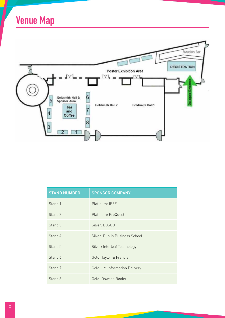



| <b>STAND NUMBER</b> | <b>SPONSOR COMPANY</b>         |
|---------------------|--------------------------------|
| Stand 1             | Platinum: IEEE                 |
| Stand 2             | Platinum: ProQuest             |
| Stand 3             | Silver: EBSCO                  |
| Stand 4             | Silver: Dublin Business School |
| Stand 5             | Silver: Interleaf Technology   |
| Stand 6             | Gold: Taylor & Francis         |
| Stand 7             | Gold: LM Information Delivery  |
| Stand 8             | Gold: Dawson Books             |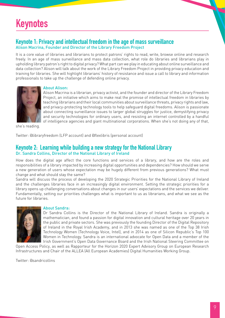# Keynotes

## Keynote 1: Privacy and intellectual freedom in the age of mass surveillance Alison Macrina, Founder and Director of the Library Freedom Project

It is a core value of libraries and librarians to protect patrons' rights to read, write, browse online and research freely. In an age of mass surveillance and mass data collection, what role do libraries and librarians play in upholding library patron's right to digital privacy? What part can we play in educating about online surveillance and data collection? Alison will talk about the work of the Library Freedom Project in providing privacy education and training for libraries. She will highlight librarians' history of resistance and issue a call to library and information professionals to take up the challenge of defending online privacy.



#### About Alison:

Alison Macrina is a librarian, privacy activist, and the founder and director of the Library Freedom Project, an initiative which aims to make real the promise of intellectual freedom in libraries by teaching librarians and their local communities about surveillance threats, privacy rights and law, and privacy-protecting technology tools to help safeguard digital freedoms. Alison is passionate about connecting surveillance issues to larger global struggles for justice, demystifying privacy and security technologies for ordinary users, and resisting an internet controlled by a handful of intelligence agencies and giant multinational corporations. When she's not doing any of that,

she's reading.

Twitter: @libraryfreedom (LFP account) and @flexlibris (personal account)

## Keynote 2: Learning while building a new strategy for the National Library Dr. Sandra Collins, Director of the National Library of Ireland

How does the digital age affect the core functions and services of a library, and how are the roles and responsibilities of a library impacted by increasing digital opportunities and dependencies? How should we serve a new generation of users whose expectation may be hugely different from previous generations? What must change and what should stay the same?

Sandra will discuss the process of developing the 2020 Strategic Priorities for the National Library of Ireland and the challenges libraries face in an increasingly digital environment. Setting the strategic priorities for a library opens up challenging conversations about changes in our users' expectations and the services we deliver. Fundamentally, setting our priorities challenges what is important to us as librarians, and what we see as the future for libraries.



#### About Sandra:

Dr Sandra Collins is the Director of the National Library of Ireland. Sandra is originally a mathematician, and found a passion for digital innovation and cultural heritage over 20 years in the public and private sectors. She was previously the founding Director of the Digital Repository of Ireland in the Royal Irish Academy, and in 2013 she was named as one of the Top 38 Irish Technology Women (Technology Voice, Intel), and in 2014 as one of Silicon Republic's Top 100 Women in Technology. Sandra is an international advocate for Open Data and a member of the Irish Government's Open Data Governance Board and the Irish National Steering Committee on

Open Access Policy, as well as Rapporteur for the Horizon 2020 Expert Advisory Group on European Research Infrastructures and Chair of the ALLEA (All European Academies) Digital Humanities Working Group.

Twitter: @sandricollins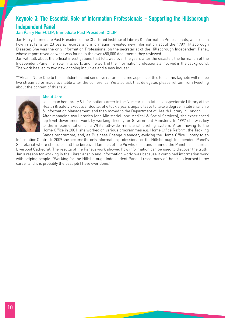## Keynote 3: The Essential Role of Information Professionals - Supporting the Hillsborough Independent Panel

#### Jan Parry HonFCLIP, Immediate Past President, CILIP

Jan Parry, Immediate Past President of the Chartered Institute of Library & Information Professionals, will explain how in 2012, after 23 years, records and information revealed new information about the 1989 Hillsborough Disaster. She was the only Information Professional on the secretariat of the Hillsborough Independent Panel, whose report revealed what was found in the over 450,000 documents they reviewed.

Jan will talk about the official investigations that followed over the years after the disaster, the formation of the Independent Panel, her role in its work, and the work of the information professionals involved in the background. The work has led to two new ongoing inquiries and a new inquest.

\*\*Please Note: Due to the confidential and sensitive nature of some aspects of this topic, this keynote will not be live streamed or made available after the conference. We also ask that delegates please refrain from tweeting about the content of this talk.

#### About Jan:



Jan began her library & information career in the Nuclear Installations Inspectorate Library at the Health & Safety Executive, Bootle. She took 3 years unpaid leave to take a degree in Librarianship & Information Management and then moved to the Department of Health Library in London. After managing two libraries (one Ministerial, one Medical & Social Services), she experienced top level Government work by working directly for Government Ministers. In 1997 she was key to the implementation of a Whitehall-wide ministerial briefing system. After moving to the Home Office in 2001, she worked on various programmes e.g. Home Office Reform, the Tackling Gangs programme, and, as Business Change Manager, evolving the Home Office Library to an

Information Centre. In 2009 she became the only information professional on the Hillsborough Independent Panel's Secretariat where she traced all the bereaved families of the 96 who died, and planned the Panel disclosure at Liverpool Cathedral. The results of the Panel's work showed how information can be used to discover the truth. Jan's reason for working in the Librarianship and Information world was because it combined information work with helping people. "Working for the Hillsborough Independent Panel, I used many of the skills learned in my career and it is probably the best job I have ever done."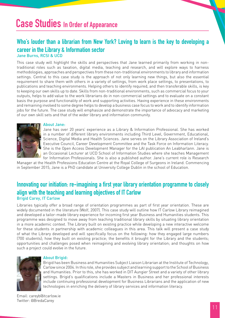# Case Studies In Order of Appearance

## Who's louder than a librarian from New York? Loving to learn is the key to developing a career in the Library & Information sector Jane Burns, RCSI & UCD

This case study will highlight the skills and perspectives that Jane learned primarily from working in nontraditional roles such as taxation, digital media, teaching and research, and will explore ways to harness methodologies, approaches and perspectives from these non-traditional environments to library and information settings. Central to this case study is the approach of not only learning new things, but also the essential requirement to share them with others in a variety of settings, from work place settings, to presentations, to publications and teaching environments. Helping others to identify required, and then transferable skills, is key to keeping our own skills up to date. Skills from non-traditional environments, such as commercial focus to your outputs, helps to add value to the work librarians do in non-commercial settings and to evaluate on a constant basis the purpose and functionality of work and supporting activities. Having experience in these environments and remaining involved to some degree helps to develop a business case focus to work and to identify information jobs for the future. The case study will emphasize and demonstrate the importance of advocacy and marketing

of our own skill sets and that of the wider library and information community.



#### About Jane:

Jane has over 20 years' experience as a Library & Information Professional. She has worked in a number of different library environments including Third Level, Government, Educational, Science, Digital Media and Health Sciences. Jane serves on the Library Association of Ireland's Executive Council, Career Development Committee and the Task Force on Information Literacy. She is the Open Access Development Manager for the LAI publication An Leabharlann. Jane is an Occasional Lecturer at UCD School of Information Studies where she teaches Management for Information Professionals. She is also a published author. Jane's current role is Research

Manager at the Health Professions Education Centre at the Royal College of Surgeons in Ireland. Commencing in September 2015, Jane is a PhD candidate at University College Dublin in the school of Education.

## Innovating our initiation: re-imagining a first year library orientation programme to closely align with the teaching and learning objectives of IT Carlow Brigid Carey, IT Carlow

Libraries typically offer a broad range of orientation programmes as part of first year orientation. These are widely documented in the literature (Wolf, 2007). This case study will outline how IT Carlow Library reimagined and developed a tailor-made library experience for incoming first year Business and Humanities students. This programme was designed to move away from teaching traditional library skills by situating library orientation in a more academic context. The Library built on existing practice while developing a new interactive welcome for these students in partnership with academic colleagues in this area. This talk will present a case study of what the Library developed and will specifically focus on the following: how they engaged large numbers (700 students); how they built on existing practice; the benefits it brought for the Library and the students; opportunities and challenges posed when reimagining and evolving library orientation; and thoughts on how such a project could evolve in the future.



#### About Brigid:

Brigid has been Business and Humanities Subject Liaison Librarian at the Institute of Technology, Carlow since 2004. In this role, she provides subject and learning support to the School of Business and Humanities. Prior to this, she has worked in DIT Aungier Street and a variety of other library settings. Brigid's qualifications include a Masters in Business and her professional interests include continuing professional development for Business Librarians and the application of new technologies in enriching the delivery of library services and information literacy.

Email: careyb@itcarlow.ie Twitter: @BredaCarey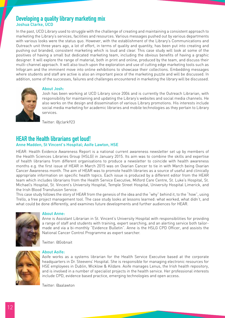## Developing a quality library marketing mix Joshua Clarke, UCD

In the past, UCD Library used to struggle with the challenge of creating and maintaining a consistent approach to marketing the Library's services, facilities and resources. Various messages pushed out by various departments with various looks were the status quo. However, with the establishment of the Library's Communications and Outreach unit three years ago, a lot of effort, in terms of quality and quantity, has been put into creating and pushing out branded, consistent marketing which is loud and clear. This case study will look at some of the positives of having a small but dedicated marketing team, including the obvious benefits of having a graphic designer. It will explore the range of material, both in print and online, produced by the team, and discuss their multi-channel approach. It will also touch upon the exploration and use of cutting edge marketing tools such as Infogr.am and the imminent move into online exhibitions to showcase their collections. Embedding messages where students and staff are active is also an important piece of the marketing puzzle and will be discussed. In addition, some of the successes, failures and challenges encountered in marketing the library will be discussed.



#### About Josh:

Josh has been working at UCD Library since 2004 and is currently the Outreach Librarian, with responsibility for maintaining and updating the Library's websites and social media channels. He also works on the design and dissemination of various Library promotions. His interests include social media marketing for academic libraries and mobile technologies as they pertain to Library services.

Twitter: @jclark923

## HEAR the Health librarians get loud!

#### Anne Madden, St Vincent's Hospital; Aoife Lawton, HSE

HEAR: Health Evidence Awareness Report is a national current awareness newsletter set up by members of the Health Sciences Libraries Group (HSLG) in January 2015. Its aim was to combine the skills and expertise of health librarians from different organisations to produce a newsletter to coincide with health awareness months e.g. the first issue of HEAR in March 2015 was on Ovarian Cancer to tie in with March being Ovarian Cancer Awareness month. The aim of HEAR was to promote health libraries as a source of useful and clinically appropriate information on specific health topics. Each issue is produced by a different editor from the HEAR team which includes librarians from the Health Service Executive, Milford Care Centre, St. Luke's Hospital, St. Michael's Hospital, St. Vincent's University Hospital, Temple Street Hospital, University Hospital Limerick, and the Irish Blood Transfusion Service.

This case study follows the story of HEAR from the genesis of the idea and the "why" behind it, to the "how", using Trello, a free project management tool. The case study looks at lessons learned: what worked, what didn't, and what could be done differently, and examines future developments and further audiences for HEAR.



#### About Anne:

Anne is Assistant Librarian in St. Vincent's University Hospital with responsibilities for providing a range of staff and students with training, expert searching, and an alerting service both tailormade and via a bi-monthly "Evidence Bulletin". Anne is the HSLG CPD Officer, and assists the National Cancer Control Programme as expert searcher.

Twitter: @Gobnait



#### About Aoife:

Aoife works as a systems librarian for the Health Service Executive based at the corporate headquarters in Dr. Steevens' Hospital. She is responsible for managing electronic resources for HSE employees in Dublin, Wicklow & Kildare. Aoife manages Lenus, the Irish health repository, and is involved in a number of specialist projects in the health service. Her professional interests include CPD, evidence based practice, emerging technologies and open access.

Twitter: @aalawton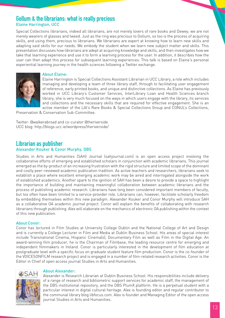## Gollum & the librarians: what is really precious Elaine Harrington, UCC

Special Collections librarians, indeed all librarians, are not merely lovers of rare books and Dewey; we are not merely wearers of glasses and tweed. Just as the ring was precious to Gollum, so too is the process of acquiring skills, and using them, precious to librarians. We librarians are expert at knowing how to learn new skills and adapting said skills for our needs. We embody the student when we learn new subject matter and skills. This presentation discusses how librarians are adept at acquiring knowledge and skills, and then investigates how we take that learning experience and use it to form a learning process for the user. In addition, it describes how the user can then adapt this process for subsequent learning experiences. This talk is based on Elaine's personal experiential learning journey in the health sciences following a Twitter exchange.



#### About Elaine:

Elaine Harrington is Special Collections Assistant Librarian in UCC Library, a role which includes managing and developing a team of three library staff, through to facilitating user engagement of reference, early printed books, and unique and distinctive collections. As Elaine has previously worked in UCC Library's Customer Services, InterLibrary Loan and Health Sciences branch library, she is very much focused on the ways in which users engage with the library, its services and collections and the necessary skills that are required for effective engagement. She is an active member of the LAI's Rare Books & Special Collections Group and CONUL's Collections,

Preservation & Conservation Sub-Committee.

Twitter: @walkerabroad and co-curator @theriverside UCC blog: http://blogs.ucc.ie/wordpress/theriverside/

### Librarian as publisher Alexander Kouker & Conor Murphy, DBS

Studies in Arts and Humanities (SAH) Journal (sahjournal.com) is an open access project involving the collaborative efforts of emerging and established scholars in conjunction with academic librarians. This journal emerged as the by-product of an increasing frustration with the rigid structure and limited scope of the dominant and costly peer-reviewed academic publication tradition. As active teachers and researchers, librarians seek to establish a place where excellent emerging academic work may be aired and interrogated alongside the work of established academics. Another spark to the ignition of SAH has been a desire to provide a space to highlight the importance of building and maintaining meaningful collaboration between academic librarians and the process of publishing academic research. Librarians have long been considered important members of faculty, but too often have been limited to a service-provider role. Librarians can, however, facilitate scholarly freedom by embedding themselves within this new paradigm. Alexander Kouker and Conor Murphy will introduce SAH as a collaborative OA academic journal project. Conor will explain the benefits of collaborating with research librarians through publishing. Alex will elaborate on the mechanics of electronic OA publishing within the context of this new publication.

#### About Conor:

Conor has lectured in Film Studies at University College Dublin and the National College of Art and Design and is currently a College Lecturer in Film and Media at Dublin Business School. His areas of special interest include Transnational Cinema, Hispanic Cinema(s), Documentary Film as well as Film in the Digital Age. An award-winning film producer, he is the Chairman of Filmbase, the leading resource centre for emerging and independent filmmakers in Ireland. Conor is particularly interested in the development of film education at postgraduate level with a specific focus on graduate student feature film production. Conor is the co-founder of the VOICESONFILM research project and is engaged in a number of film-related research activities. Conor is the Editor in Chief of open access journal Studies in Arts and Humanities.



#### About Alexander:

Alexander is Research Librarian at Dublin Business School. His responsibilities include delivery of a range of research and bibliometric support services for academic staff, the management of the DBS institutional repository, and the DBS PlumX platform. He is a perpetual student with a particular interest in digital cultural heritage. Alex is founding editor and regular contributor to the communal library blog libfocus.com. Alex is founder and Managing Editor of the open access journal Studies in Arts and Humanities.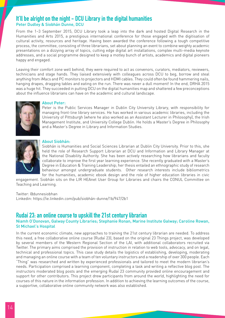## It'll be alright on the night - DCU Library in the digital humanities Peter Dudley & Siobhán Dunne, DCU

From the 1–3 September 2015, DCU Library took a leap into the dark and hosted Digital Research in the Humanities and Arts 2015, a prestigious international conference for those engaged with the digitisation of cultural activity, resources and heritage. Having been awarded the conference following a tough competitive process, the committee, consisting of three librarians, set about planning an event to combine weighty academic presentations on a dizzying array of topics, cutting edge digital art installations, complex multi-media keynote addresses, and a social programme designed to keep a motley bunch of artists, academics and digital pioneers happy and engaged.

Leaving their comfort zone well behind, they were required to act as convenors, curators, mediators, reviewers, technicians and stage hands. They liaised extensively with colleagues across DCU to beg, borrow and steal anything from iMacs and PC monitors to projectors and HDMI cables. They could often be found hammering nails, hanging drapes, dragging tables and eating on the run. There was never a dull moment! In the end, DRHA 2015 was a huge hit. They succeeded in putting DCU on the digital humanities map and shattered a few preconceptions about the influence librarians can have on the academic and cultural landscape.



#### About Peter:

Peter is the Public Services Manager in Dublin City University Library, with responsibility for managing front-line library services. He has worked in various academic libraries, including the University of Pittsburgh (where he also worked as an Assistant Lecturer in Philosophy), the Irish Management Institute, and University College Dublin. He holds a Master's Degree in Philosophy and a Master's Degree in Library and Information Studies.



#### About Siobhán:

Siobhán is Humanities and Social Sciences Librarian at Dublin City University. Prior to this, she held the role of Research Support Librarian at DCU and Information and Library Manager at the National Disability Authority. She has been actively researching how librarians and faculty collaborate to improve the first year learning experience. She recently graduated with a Master's Degree in Education & Training Leadership; her thesis entailed an ethnographic study of research behaviour amongst undergraduate students. Other research interests include bibliometrics for the humanities, academic ebook design and the role of higher education libraries in civic

engagement. Siobhán sits on the LIR HEAnet User Group for Libraries and chairs the CONUL Committee on Teaching and Learning.

Twitter: @dunnesiobhan Linkedin: https://ie.linkedin.com/pub/siobhán-dunne/1b/947/2b1

## Rudaí 23: an online course to upskill the 21st century librarian

#### Niamh O'Donovan, Galway County Libraries; Stephanie Ronan, Marine Institute Galway; Caroline Rowan, St Michael's Hospital

In the current economic climate, new approaches to training the 21st century librarian are needed. To address this need, a free collaborative online course (Rudaí 23), based on the original 23 Things project, was developed by several members of the Western Regional Section of the LAI, with additional collaborators recruited via Twitter. The primary aims comprised the provision of instruction in relation to web tools, advocacy, and on legal, technical and professional topics. This case study details the logistics of establishing, developing, moderating and managing an online course with a team of ten voluntary instructors and a readership of over 300 people. Each "Thing" was researched and written by experienced professionals and tailored to meet the modern librarian's needs. Participation comprised a learning component, completing a task and writing a reflective blog post. The instructors moderated blog posts and the emerging Rudaí 23 community provided online encouragement and support for other contributors. This project drew participants from around the world, highlighting the need for courses of this nature in the information profession. In addition to achieving the learning outcomes of the course, a supportive, collaborative online community network was also established.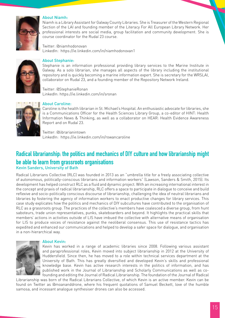

#### About Niamh:

Niamh is a Library Assistant for Galway County Libraries. She is Treasurer of the Western Regional Section of the LAI and founding member of the Literacy For All European Library Network. Her professional interests are social media, group facilitation and community development. She is course coordinator for the Rudaí 23 course.

Twitter: @niamhodonovan LinkedIn: https://ie.linkedin.com/in/niamhodonovan1



#### About Stephanie:

Stephanie is an information professional providing library services to the Marine Institute in Galway. As a solo librarian, she manages all aspects of the library including the institutional repository and is quickly becoming a marine information expert. She is secretary for the WRSLAI, collaborator on Rudaí 23, and a founding member of the Repository Network Ireland.

Twitter: @StephanieRonan LinkedIn: https://ie.linkedin.com/in/sronan



#### About Caroline:

Caroline is the health librarian in St. Michael's Hospital. An enthusiastic advocate for libraries, she is a Communications Officer for the Health Sciences Library Group, a co-editor of HINT: Health Information News & Thinking, as well as a collaborator on HEAR: Health Evidence Awareness Report and on Rudaí 23.

Twitter: @librarianintown LinkedIn: https://ie.linkedin.com/in/rowancaroline

## Radical librarianship: the politics and mechanics of DIY culture and how librarianship might be able to learn from grassroots organisations

#### Kevin Sanders, University of Bath

Radical Librarians Collective (RLC) was founded in 2013 as an "umbrella title for a freely associating collective of autonomous, politically-conscious librarians and information workers" (Lawson, Sanders & Smith, 2015). Its development has helped construct RLC as a fluid and dynamic project. With an increasing international interest in the concept and praxis of radical librarianship, RLC offers a space to participate in dialogue to conceive and build reflexive and socio-politically conscious discourse of librarianship, challenging the idea of neutral librarians and libraries by fostering the agency of information workers to enact productive changes for library services. This case study explicates how the politics and mechanics of DIY subcultures have contributed to the organisation of RLC as a grassroots group. The practices of the collective's members have coalesced a diverse group, from hunt saboteurs, trade union representatives, punks, skateboarders and beyond. It highlights the practical skills that members' actions in activities outside of LIS have imbued the collective with alternative means of organisation for LIS to produce voices of resistance against the neoliberal consensus. This use of resistance tactics has expedited and enhanced our communications and helped to develop a safer space for dialogue, and organisation in a non-hierarchical way.



#### About Kevin:

Kevin has worked in a range of academic libraries since 2008. Following various assistant and paraprofessional roles, Kevin moved into subject librarianship in 2012 at the University of Huddersfield. Since then, he has moved to a role within technical services department at the University of Bath. This has greatly diversified and developed Kevin's skills and professional knowledge base. Kevin has active research interests in the politics of information, and has published work in the Journal of Librarianship and Scholarly Communications as well as cofounding and editing the Journal of Radical Librarianship. The foundation of the Journal of Radical

Librarianship was born of the Radical Librarians Collective, of which Kevin is an active member. Kevin can be found on Twitter as @moananddrone, where his frequent quotations of Samuel Beckett, love of the humble samosa, and incessant analogue synthesiser drones can also be accessed.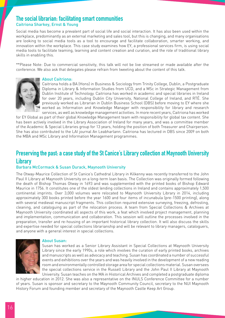### The social librarian: facilitating smart communities Caitriona Sharkey, Ernst & Young

Social media has become a prevalent part of social life and social interaction. It has also been used within the workplace, predominantly as an external marketing and sales tool, but this is changing, and many organisations are looking to social media tools as a tool to encourage and facilitate collaboration, smarter working, and innovation within the workplace. This case study examines how EY, a professional services firm, is using social media tools to facilitate teaming, learning and content creation and curation, and the role of traditional library skills in enabling this.

\*\*Please Note: Due to commercial sensitivity, this talk will not be live streamed or made available after the conference. We also ask that delegates please refrain from tweeting about the content of this talk.



#### About Caitriona:

Caitriona holds a BA (Hons) in Business & Sociology from Trinity College, Dublin, a Postgraduate Diploma in Library & Information Studies from UCD, and a MSc in Strategic Management from Dublin Institute of Technology. Caitriona has worked in academic and special libraries in Ireland for over 20 years, including Dublin City University, National College of Ireland, and RTÉ. She previously worked as Librarian in Dublin Business School (DBS) before moving to EY where she worked as Information and Knowledge Manager with responsibility for library and research services, as well as knowledge management activities. In more recent years, Caitriona has worked

for EY Global as part of their global Knowledge Management team with responsibility for global tax content. She has been actively involved in the Library Association of Ireland for many years, and was a committee member of the Academic & Special Libraries group for 13 years, holding the position of both Treasurer and Chairperson. She has also contributed to the LAI journal An Leabharlann. Caitriona has lectured in DBS since 2009 on both the MBA and MSc Library and Information Management programmes.

## Preserving the past: a case study of the St Canice's Library collection at Maynooth University **Library**

#### Barbara McCormack & Susan Durack, Maynooth University

The Otway-Maurice Collection of St Canice's Cathedral Library in Kilkenny was recently transferred to the John Paul II Library at Maynooth University on a long-term loan basis. The Collection was originally formed following the death of Bishop Thomas Otway in 1693 and was supplemented with the printed books of Bishop Edward Maurice in 1756. It constitutes one of the oldest lending collections in Ireland and contains approximately 1,500 continental imprints. Over 3,000 volumes were relocated to Maynooth University Library in 2014, including approximately 300 books printed before the year 1600 and four items of incunabula (pre-1500 printing), along with several medieval manuscript fragments. This collection required extensive surveying, freezing, defrosting, cleaning, and cataloguing as part of the relocation process. A team from Special Collections & Archives at Maynooth University coordinated all aspects of this work, a feat which involved project management, planning and implementation, communication and collaboration. This session will outline the processes involved in the preparation, transfer and re-housing of an important historical library collection. It will also discuss the skills and expertise needed for special collections librarianship and will be relevant to library managers, cataloguers, and anyone with a general interest in special collections.



#### About Susan:

Susan has worked as a Senior Library Assistant in Special Collections at Maynooth University Library since the early 1990s, a role which involves the curation of early printed books, archives and manuscripts as well as advocacy and teaching. Susan has coordinated a number of successful events and exhibitions over the years and was heavily involved in the development of a new reading room and environmentally controlled storage area for special collections material. Susan oversees the special collections service in the Russell Library and the John Paul II Library at Maynooth University. Susan teaches on the MA in Historical Archives and completed a postgraduate diploma

in higher education in 2012. She was also a representative on the INULS Conference Committee for a number of years. Susan is sponsor and secretary to the Maynooth Community Council, secretary to the NUI Maynooth History Forum and founding member and secretary of the Maynooth Castle Keep Art Group.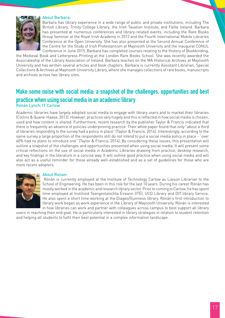#### About Barbara:



Barbara has library experience in a wide range of public and private institutions, including The British Library, Trinity College Library, the Irish Taxation Institute, and Fáilte Ireland. Barbara has presented at numerous conferences and library-related events, including the Rare Books Group Seminar at the Royal Irish Academy in 2012 and the Fourth International Mobile Libraries Conference at the Open University. She has also presented at the Second Annual Conference of the Centre for the Study of Irish Protestantism at Maynooth University and the inaugural CONUL Conference in June 2015. Barbara has completed courses relating to the History of Bookbinding,

the Medieval Book and Letterpress Printing at the London Rare Books School. She was recently awarded the Associateship of the Library Association of Ireland. Barbara teaches on the MA Historical Archives at Maynooth University and has written several articles and book chapters. Barbara is currently Assistant Librarian, Special Collections & Archives at Maynooth University Library, where she manages collections of rare books, manuscripts and archives across two library sites.

## Make some noise with social media: a snapshot of the challenges, opportunities and best practice when using social media in an academic library Rónán Lynch, IT Carlow

Academic libraries have largely adopted social media to engage with library users and to market their libraries (Collins & Quane-Haase, 2012). However, practices vary hugely and this is reflected in how social media is chosen, used and how content is shared. Furthermore, recent research by the publisher Taylor & Francis indicated that there is frequently an absence of policies underpinning practice. Their white paper found that only "about a third of libraries responding to the survey had a policy in place" (Taylor & Francis, 2014). Interestingly, according to the same survey a large proportion of the respondents still do not intend to put a social media policy in place - "over 40% had no plans to introduce one" (Taylor & Francis, 2014). By considering these issues, this presentation will outline a snapshot of the challenges and opportunities presented when using social media. It will present some critical reflections on the use of social media in Academic Libraries drawing from practice, desktop research, and key findings in the literature in a concise way. It will outline good practice when using social media and will also act as a useful reminder for those already well-established and as a set of guidelines for those who are more recent adopters.



#### About Ronan:

 Rónán is currently employed at the Institute of Technology Carlow as Liaison Librarian to the School of Engineering. He has been in this role for the last 10 years. During his career Rónán has mostly worked in the academic and research library sector. Prior to coming to Carlow, he has spent time employed at Institiúid Teangeolaíochta Éireann (ITÉ), UCD Library and DIT library Service. He also spent a short time working at the Diageo/Guinness library. Rónán's first introduction to library work began as work experience in the Library of Maynooth University. Rónán is interested in how libraries can work and partner with colleagues across campus to best support all library

users in reaching their end goal. He is particularly interested in library strategies in relation to student retention and helping all students to fulfil their best potential in a complex information landscape.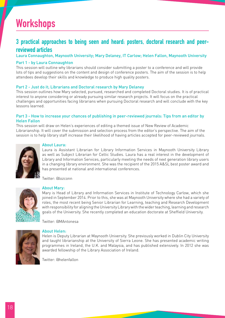# **Workshops**

## 3 practical approaches to being seen and heard: posters, doctoral research and peerreviewed articles

Laura Connaughton, Maynooth University; Mary Delaney, IT Carlow; Helen Fallon, Maynooth University

#### Part 1 - by Laura Connaughton

This session will outline why librarians should consider submitting a poster to a conference and will provide lots of tips and suggestions on the content and design of conference posters. The aim of the session is to help attendees develop their skills and knowledge to produce high quality posters.

#### Part 2 - Just do it; Librarians and Doctoral research by Mary Delaney

This session outlines how Mary selected, pursued, researched and completed Doctoral studies. It is of practical interest to anyone considering or already pursuing similar research projects. It will focus on the practical challenges and opportunities facing librarians when pursuing Doctoral research and will conclude with the key lessons learned.

#### Part 3 - How to increase your chances of publishing in peer-reviewed journals: Tips from an editor by Helen Fallon

This session will draw on Helen's experiences of editing a themed issue of New Review of Academic Librarianship. It will cover the submission and selection process from the editor's perspective. The aim of the session is to help library staff increase their likelihood of having articles accepted for peer-reviewed journals.



#### About Laura:

Laura is Assistant Librarian for Library Information Services in Maynooth University Library as well as Subject Librarian for Celtic Studies. Laura has a real interest in the development of Library and Information Services, particularly meeting the needs of next generation library users in a changing library environment. She was the recipient of the 2015 A&SL best poster award and has presented at national and international conferences.

Twitter: @lozconn



### About Mary:

Mary is Head of Library and Information Services in Institute of Technology Carlow, which she joined in September 2014. Prior to this, she was at Maynooth University where she had a variety of roles, the most recent being Senior Librarian for Learning, teaching and Research Development with responsibility for aligning the University Library with the wider teaching, learning and research goals of the University. She recently completed an education doctorate at Sheffield University.

Twitter: @MAntonesa



#### About Helen:

Helen is Deputy Librarian at Maynooth University. She previously worked in Dublin City University and taught librarianship at the University of Sierra Leone. She has presented academic writing programmes in Ireland, the U.K. and Malaysia, and has published extensively. In 2012 she was awarded fellowship of the Library Association of Ireland.

Twitter: @helenfallon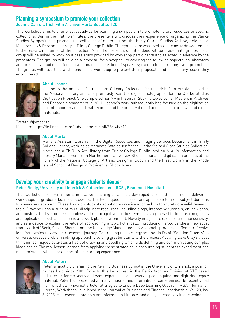## Planning a symposium to promote your collection

#### Joanne Carroll, Irish Film Archive; Marta Bustillo, TCD

This workshop aims to offer practical advice for planning a symposium to promote library resources or specific collections. During the first 15 minutes, the presenters will discuss their experience of organizing the Clarke Studios Symposium to promote the collection of material from the Harry Clarke Studios Archive, held in the Manuscripts & Research Library at Trinity College Dublin. The symposium was used as a means to draw attention to the research potential of the collection. After the presentation, attendees will be divided into groups. Each group will be asked to work on a case study provided by workshop participants and selected in advance by the presenters. The groups will develop a proposal for a symposium covering the following aspects: collaborators and prospective audience; funding and finances; selection of speakers; event administration; event promotion. The groups will have time at the end of the workshop to present their proposals and discuss any issues they encountered.



#### About Joanne:

Joanne is the archivist for the Liam O'Leary Collection for the Irish Film Archive, based in the National Library and she previously was the digital photographer for the Clarke Studios Digitisation Project. She completed her MA in History in 2009, followed by her Masters in Archives and Records Management in 2011. Joanne's work subsequently has focused on the digitisation of contemporary and archival records, and the preservation of and access to archival and digital materials.

Twitter: @jomograd LinkedIn: https://ie.linkedin.com/pub/joanne-carroll/58/16b/613



#### About Marta:

Marta is Assistant Librarian in the Digital Resources and Imaging Services Department in Trinity College Library, working as Metadata Cataloguer for the Clarke Stained Glass Studios Collection. Marta has a Ph.D. in Art History from Trinity College Dublin, and an M.A. in Information and Library Management from Northumbria University. She has managed digitisation projects at the library of the National College of Art and Design in Dublin and the Fleet Library at the Rhode Island School of Design in Providence, Rhode Island.

## Develop your creativity to engage students deeper

#### Peter Reilly, University of Limerick & Catherine Lee, (RCSI, Beaumont Hospital)

This workshop explores several innovative teaching strategies developed during the course of delivering workshops to graduate business students. The techniques discussed are applicable to most subject domains to ensure engagement. These focus on students adopting a creative approach to formulating a valid research topic. Drawing upon a suite of multi-disciplinary resources, including blogs, interactive tutorials, online videos, and posters, to develop their cognitive and metacognitive abilities. Emphasising these life-long learning skills are applicable to both an academic and work place environment. Novelty images are used to stimulate curiosity, and as a device to explain the value of approaching a topic holistically. Introducing Harold Jarche's theoretical framework of "Seek, Sense, Share" from the Knowledge Management (KM) domain provides a different reflective lens from which to view their research journey. Contrasting this strategy are the six Ds of "Solution Fluency", a universal creative problem solving approach providing greater clarity to the process. Applying Dave Gray's visual thinking techniques cultivates a habit of drawing and doodling which aids defining and communicating complex ideas easier. The real lesson learned from applying these strategies is encouraging students to experiment and make mistakes which are all part of the learning experience.



#### About Peter:

Peter is faculty Librarian to the Kemmy Business School at the University of Limerick, a position he has held since 2008. Prior to this he worked in the Radio Archives Division of RTÉ based in Limerick for six years and was responsible for preserving cataloguing and digitizing legacy material. Peter has presented at many national and international conferences. He recently had his first scholarly journal article "Strategies to Ensure Deep Learning Occurs in MBA Information Literacy Workshops" published in the Journal of Business and Finance librarianship (Vol. 20, Iss. 3, 2015) His research interests are Information Literacy, and applying creativity in a teaching and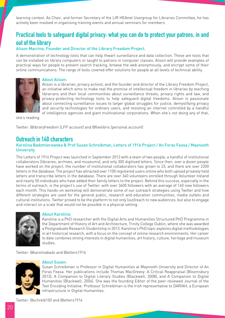learning context. As Chair, and former Secretary of the LIR HEAnet Usergroup for Libraries Committee, he has actively been involved in organising training events and annual seminars for members.

## Practical tools to safeguard digital privacy: what you can do to protect your patrons, in and out of the library

#### Alison Macrina, Founder and Director of the Library Freedom Project.

A demonstration of technology tools that can help thwart surveillance and data collection. These are tools that can be installed on library computers or taught to patrons in computer classes. Alison will provide examples of practical ways for people to prevent search tracking, browse the web anonymously, and encrypt some of their online communications. The range of tools covered offer solutions for people at all levels of technical ability.



#### About Alison:

Alison is a librarian, privacy activist, and the founder and director of the Library Freedom Project, an initiative which aims to make real the promise of intellectual freedom in libraries by teaching librarians and their local communities about surveillance threats, privacy rights and law, and privacy-protecting technology tools to help safeguard digital freedoms. Alison is passionate about connecting surveillance issues to larger global struggles for justice, demystifying privacy and security technologies for ordinary users, and resisting an internet controlled by a handful of intelligence agencies and giant multinational corporations. When she's not doing any of that,

she's reading.

Twitter: @libraryfreedom (LFP account) and @flexlibris (personal account)

## Outreach in 140 characters

#### Karolina Badzmierowska & Prof Susan Schreibman, Letters of 1916 Project / An Foras Feasa / Maynooth **University**

The Letters of 1916 Project was launched in September 2013 with a team of two people, a handful of institutional collaborators (libraries, archives, and museums), and only 300 digitised letters. Since then, over a dozen people have worked on the project, the number of institutional collaborators has grown to 23, and there are over 2200 letters in the database. The project has attracted over 1100 registered users online who both upload privately held letters and transcribe letters in the database. There are over 340 volunteers enrolled through Volunteer Ireland and nearly 50 individuals who have added their family letters to the project. Behind this success, especially in the terms of outreach, is the project's use of Twitter, with over 3400 followers with an average of 140 new followers each month. This hands-on workshop will demonstrate some of our outreach strategies using Twitter and how different strategies are used for the general public, research and education communities, media outlets and cultural institutions. Twitter proved to be the platform to not only (out)reach to new audiences, but also to engage and interact on a scale that would not be possible in a physical setting.



#### About Karolina:

Karolina is a PhD researcher with the Digital Arts and Humanities Structured PhD Programme in the Department of History of Art and Architecture, Trinity College Dublin, where she was awarded a Postgraduate Research Studentship in 2013. Karolina's PhD topic explores digital methodologies in art historical research, with a focus on the concept of online research environments. Her career to date combines strong interests in digital humanities, art history, culture, heritage and museum studies.

Twitter: @karolinabadz and @letters1916



#### About Susan:

Susan Schreibman is Professor in Digital Humanities at Maynooth University and Director of An Foras Feasa. Her publications include Thomas MacGreevy: A Critical Reappraisal (Bloomsbury 2013), A Companion to Digital Literary Studies (Blackwell, 2008), and A Companion to Digital Humanities (Blackwell, 2004). She was the founding Editor of the peer-reviewed Journal of the Text Encoding Initiative. Professor Schreibman is the Irish representative to DARIAH, a European infrastructure in Digital Humanities.

Twitter: @schreib100 and @letters1916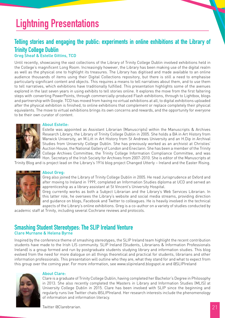# Lightning Presentations

## Telling stories and engaging the public: experiments in online exhibitions at the Library of Trinity College Dublin

## Greg Sheaf & Estelle Gittins, TCD

Until recently, showcasing the vast collections of the Library of Trinity College Dublin involved exhibitions held in the College's magnificent Long Room. Increasingly however, the Library has been making use of the digital realm as well as the physical one to highlight its treasures. The Library has digitised and made available to an online audience thousands of items using their Digital Collections repository, but there is still a need to emphasise particularly significant content and objects. This requires a means to tell narratives about them, and to use them to tell narratives, which exhibitions have traditionally fulfilled. This presentation highlights some of the avenues explored in the last seven years in using exhibits to tell stories online. It explores the move from the first faltering steps with converting PowerPoints, through commercially-produced Flash exhibitions, through to Lightbox, blogs and partnership with Google. TCD has moved from having no virtual exhibitions at all, to digital exhibitions uploaded after the physical exhibition is finished, to online exhibitions that complement or replace completely their physical equivalents. The move to virtual exhibitions brings its own concerns and rewards, and the opportunity for everyone to be their own curator of content.



#### About Estelle:

Estelle was appointed as Assistant Librarian (Manuscripts) within the Manuscripts & Archives Research Library, the Library of Trinity College Dublin in 2005. She holds a BA in Art History from Warwick University, an M.Litt in Art History from St Andrews University and an H.Dip in Archival Studies from University College Dublin. She has previously worked as an archivist at Christies' Auction House, the National Gallery of London and Eneclann. She has been a member of the Trinity College Archives Committee, the Trinity College Information Compliance Committee, and was Hon. Secretary of the Irish Society for Archives from 2007-2010. She is editor of the Manuscripts at

Trinity Blog and is project lead on the Library's 1916 blog project Changed Utterly – Ireland and the Easter Rising.



#### About Greg:

Greg also joined the Library of Trinity College Dublin in 2005. He read Jurisprudence at Oxford and after moving to Ireland in 1999, completed an Information Studies diploma at UCD and served an apprenticeship as a library assistant at St Vincent's University Hospital.

Greg currently works as both a Subject Librarian and the Library's Web Services Librarian. In this latter role, he oversees the Library's website and social media streams, providing direction and guidance on blogs, Facebook and Twitter to colleagues. He is heavily involved in the technical aspects of the Library's online exhibitions. Greg is a co-author on a variety of studies conducted by

academic staff at Trinity, including several Cochrane reviews and protocols.

## Smashing Student Stereotypes: The SLIP Ireland Venture Clare Murnane & Helena Byrne

Inspired by the conference theme of smashing stereotypes, the SLIP Ireland team highlight the recent contribution students have made to the Irish LIS community. SLIP Ireland (Students, Librarians & Information Professionals Ireland) is a group formed and run by postgraduate students studying library and information studies. This blog evolved from the need for more dialogue on all things theoretical and practical for students, librarians and other information professionals. This presentation will outline who they are, what they stand for and what to expect from this group over the coming year. For more information, see www.slipireland.blogspot.ie and @SLIPIreland



#### About Clare:

Clare is a graduate of Trinity College Dublin, having completed her Bachelor's Degree in Philosophy in 2013. She also recently completed the Masters in Library and Information Studies (MLIS) at University College Dublin in 2015. Clare has been involved with SLIP since the beginning and regularly runs live Twitter chats @SLIPIreland. Her research interests include the phenomenology of information and information literacy.

Twitter @Clarebrarian.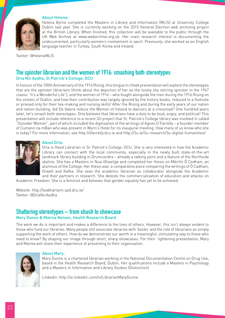

#### About Helena:

Helena Byrne completed the Masters in Library and Information (MLIS) at University College Dublin last year. She is currently working on the 2015 General Election web archiving project at the British Library. When finished, this collection will be available to the public through the UK Web Archive at www.webarchive.org.uk. Her main research interest is documenting the undocumented, particularly women's involvement in sport. Previously, she worked as an English language teacher in Turkey, South Korea and Ireland.

Twitter: @HelenaMLIS

## The spinster librarian and the women of 1916: smashing both stereotypes Orla Nic Aodha, St Patrick's College, DCU

In honour of the 100th Anniversary of the 1916 Rising, this tongue in cheek presentation will explore the stereotypes that are the spinster librarians (think about the depiction of her as the lonely shy retiring spinster in the 1947 classic "It's a Wonderful Life"), and the women of 1916 – who fought alongside the men during the 1916 Rising on the streets of Dublin, and how their contribution was largely ignored by the history books, reduced to a footnote or praised only for their tea-making and nursing skills! After the Rising and during the early years of our nation and nation-building, did De Valera reduce the Women of Ireland to dancers at a crossroad? One hundred years later, let's smash both stereotypes. Orla believes that librarians have a duty to be loud, angry, and political! This presentation will include reference to a recent 3U project that St. Patrick's College library was involved in called "Outsider Women", part of which included the digitisation of the writings of Agnes O'Farrelly – a founder member of Cumann na mBan who was present in Wynn's Hotel for its inaugural meeting. How many of us know who she is today? For more information, see http://ofarrelly.dcu.ie and http://3u.ie/3u-research/3u-digital-humanities/



#### About Orla:

Orla is Head Librarian in St. Patrick's College, DCU. She is very interested in how the Academic Library can connect with the local community, especially in the newly built state-of-the-art landmark library building in Drumcondra – already a talking point and a feature of the Northside skyline. She has a Masters in Nua-Ghaeilge and completed her thesis on Máirtín Ó Cadhain, an alumnus of the College. Her thesis was a comparative piece comparing the writings of Ó Cadhain, Orwell and Kafka. She sees the academic librarian as collaborator alongside the Academic and their partners in research. She detests the commercialisation of education and attacks on

Academic Freedom. She is a feminist and believes that gender equality has yet to be achieved.

Website: http://leabharlann.spd.dcu.ie/ Twitter: @OrlaNicAodha

### Shattering stereotypes – from shush to showcase Mary Dunne & Mairea Nelson, Health Research Board

The work we do is important and makes a difference to the lives of others. However, this isn't always evident to those who fund our libraries. Many people still associate libraries with 'books' and the role of librarians as simply supporting the work of others. How do we demonstrate our worth in a meaningful, stimulating way to those who need to know? By shaping our image through short, sharp showcases. For their lightening presentation, Mary and Mairea will share their experience of presenting to their organisation.



#### About Mary:

Mary Dunne is a chartered librarian working in the National Documentation Centre on Drug Use, based in the Health Research Board, Dublin. Her qualifications include a Masters in Psychology and a Masters in Information and Library Studies (Distinction).

Linkedin: http://ie.linkedin.com/in/LibrarianMaryDunne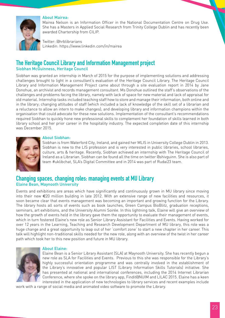

#### About Mairea:

Mairea Nelson is an Information Officer in the National Documentation Centre on Drug Use. She has a Masters in Applied Social Research from Trinity College Dublin and has recently been awarded Chartership from CILIP.

Twitter: @hrblibrarians Linkedin: https://www.linkedin.com/in/mairea

## The Heritage Council Library and Information Management project Siobhan McGuinness, Heritage Council

Siobhan was granted an internship in March of 2015 for the purpose of implementing solutions and addressing challenges brought to light in a consultant's evaluation of the Heritage Council Library. The Heritage Council Library and Information Management Project came about through a site evaluation report in 2014 by Jane Donohue, an archivist and records management consultant. Ms Donohue outlined the staff's observations of the challenges and problems facing the library, namely with lack of space for new material and lack of appraisal for old material. Internship tasks included teaching staff how to store and manage their information, both online and in the library; changing attitudes of staff (which included a lack of knowledge of the skill set of a librarian and a reluctance to allow an intern to make changes); and developing library and information champions within the organisation that could advocate for these new solutions. Implementation of the consultant's recommendations required Siobhan to quickly hone new professional skills to complement her foundation of skills learned in both library school and her prior career in the hospitality industry. The expected completion date of this internship was December 2015.



#### About Siobhan:

Siobhan is from Waterford City, Ireland, and gained her MLIS in University College Dublin in 2013. Siobhan is new to the LIS profession and is very interested in public libraries, school libraries, culture, arts & heritage. Recently, Siobhan achieved an internship with The Heritage Council of Ireland as a Librarian. Siobhan can be found all the time on twitter @shivguinn. She is also part of team #uklibchat, SLA's Digital Committee and in 2014 was part of Rudai23 team.

### Changing spaces, changing roles: managing events at MU Library Elaine Bean, Maynooth University

Events and exhibitions are areas which have significantly and continuously grown in MU library since moving into their new €20 million building in late 2012. With an extensive range of new facilities and resources, it soon became clear that events management was becoming an important and growing function for the Library. The library hosts all sorts of events such as book launches, Green Campus BioBlitz, graduation receptions, seminars, art exhibitions, and the University Alumni Soirée. In this lightning talk, Elaine will give an overview of how the growth of events held in the library gave them the opportunity to evaluate their management of events, which in turn fostered Elaine's new role as Senior Library Assistant for Facilities and Events. Having worked for over 12 years in the Learning, Teaching and Research Development Department of MU library, this role was a huge change and a great opportunity to leap out of her 'comfort zone' to start a new chapter in her career. This talk will highlight non-traditional skills needed for the new role, along with an overview of the twist in her career path which took her to this new position and future in MU library.



#### About Elaine:

Elaine Bean is a Senior Library Assistant (SLA) at Maynooth University. She has recently begun a new role as SLA for Facilities and Events. Previous to this she was responsible for the Library's highly successful orientation programme and was centrally involved in the establishment of the Library's innovative and popular LIST (Library Information Skills Tutorials) initiative. She has presented at national and international conferences, including the 2014 Internet Librarian Conference, where she spoke on the library app, Findit@NUIM and LILAC 2015. Elaine has a keen interested in the application of new technologies to library services and recent examples include

work with a range of social media and animated video software to promote the Library.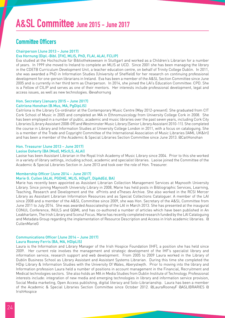## Committee Officers

#### Chairperson (June 2013 – June 2017)

#### Eva Hornung (Dipl.-Bibl. [FH], MLIS, PhD, FLAI, ALAI, FCLIP)

Eva studied at the Hochschule für Bibliothekswesen in Stuttgart and worked as a Children's Librarian for a number of years. In 1999 she moved to Ireland to complete an MLIS at UCD. Since 2001 she has been managing the library in the CDETB Curriculum Development Unit, a teacher education centre, on behalf of Trinity College Dublin. In 2011, she was awarded a PhD in Information Studies (University of Sheffield) for her research on continuing professional development for one-person librarians in Ireland. Eva has been a member of the A&SL Section Committee since June 2005 and is currently in her third term as Chairperson. In 2014, she joined the LAI's Education Committee: CPD. She is a Fellow of CILIP and serves as one of their mentors. Her interests include professional development, legal and access issues, as well as new technologies. @evahornung

## Hon. Secretary (January 2015 – June 2017)

#### Caitríona Honohan (B.Mus, MA, PgDipLIS)

Caitríona is the Library Co-ordinator at the Contemporary Music Centre (May 2012-present). She graduated from CIT Cork School of Music in 2005 and completed an MA in Ethnomusicology from University College Cork in 2008. She has been employed in a number of public, academic and music libraries over the past seven years, including Cork City Libraries (Library Assistant 2008-09) and Westminster Music Library (Senior Library Assistant 2010-11). She completed the course in Library and Information Studies at University College London in 2011, with a focus on cataloguing. She is a member of the Trade and Copyright Committee of the International Association of Music Libraries (IAML UK&Irl) and has been a member of the Academic & Special Libraries Section Committee since June 2013. @CaitHonohan

#### Hon. Treasurer (June 2013 – June 2017)

#### Laoise Doherty (BA (Mod), MScILS, ALAI)

Laoise has been Assistant Librarian in the Royal Irish Academy of Music Library since 2004. Prior to this she worked in a variety of library settings, including school, academic and specialist libraries. Laoise joined the Committee of the Academic & Special Libraries Section in June 2013 and took over the role of Hon. Treasurer.

## Membership Officer (June 2014 – June 2017)

#### Marie G. Cullen (ALAI, PGDHE, MLIS, HDipIT, DipAdEd, BA)

Marie has recently been appointed as Assistant Librarian Collection Management Services at Maynooth University Library. Since joining Maynooth University Library in 2008, Marie has held posts in Bibliographic Services, Learning, Teaching, Research and Development and the ePrints and eTheses Archive. She also worked in the RCSI Mercer Library as Assistant Librarian Information Resources and as Special Collections Cataloguer. A member of the LAI since 2008 and a member of the A&SL Committee since 2009, she was Hon. Secretary of the A&SL Committee from June 2011 to July 2014. She was awarded Associateship of the LAI in March 2013. She has presented at the inaugural CONUL Conference, INULS and QQML and has co-authored a number of articles which have been published in An Leabharlann, The Irish Library and Sconul Focus. Marie has recently completed research funded by the LAI Cataloguing and Metadata Group regarding the implementation of Resource Description and Access in Irish academic libraries. @ CullenMarieG

#### Communications Officer (June 2014 – June 2017) Laura Rooney Ferris (BA, MA, HDipLIS)

Laura is the Information and Library Manager of the Irish Hospice Foundation (IHF), a position she has held since 2009. Her current role involves the management and strategic development of the IHF's specialist library and information service, research support and web development. From 2005 to 2009 Laura worked in the Library of Dublin Business School as Library Assistant and Assistant Systems Librarian. During this time she completed the HDip Library & Information Studies with the University Of Wales, Aberystwyth. Prior to moving into the library and Information profession Laura held a number of positions in account management in the Financial, Recruitment and Medical technologies sectors. She also holds an MA in Media Studies from Dublin Institute of Technology. Professional interests include: integration of new media and emerging technologies in library and information service provision, Social Media marketing, Open Access publishing, digital literacy and Solo-Librarianship. Laura has been a member of the Academic & Special Libraries Section Committee since October 2012. @LauraRooneyF @ASLIBRARIES @ IrishHospice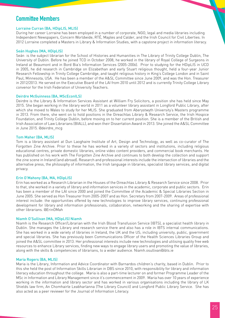## Committee Members

#### Lorraine Curran (BA, HDipLIS, MLIS)

During her career Lorraine has been employed in a number of corporate, NGO, legal and media libraries including Independent Newspapers, Concern Worldwide, RTÉ, Maples and Calder, and the Irish Council for Civil Liberties. In 2012 Lorraine completed a Masters in Library & Information Studies, with a capstone project in information literacy.

#### Seán Hughes (MA, HDipLIS)

Seán is the subject librarian for the School of Histories and Humanities in The Library of Trinity College Dublin, The University of Dublin. Before he joined TCD in October 2008, he worked in the library of Royal College of Surgeons in Ireland at Beaumont and in Bord Bia's Information Services (2005-2006). Prior to studying for the HDipLIS in UCD in 2005, he did research in Cambridge on Elizabethan and early Stuart religious thought, held a four-year Junior Research Fellowship in Trinity College Cambridge, and taught religious history in King's College London and in Saint Paul, Minnesota, USA. He has been a member of the A&SL Committee since June 2009, and was the Hon. Treasurer in 2012/2013. He served on the Executive Board of the LAI from 2010 until 2012 and is currently Trinity College Library convenor for the Irish Federation of University Teachers.

#### Deirdre McGuinness (BA, MScEconILS)

Deirdre is the Library & Information Services Assistant at William Fry Solicitors, a position she has held since May 2015. She began working in the library world in 2011 as a volunteer library assistant in Longford Public Library, after which she moved to Wales to study for her MLIS. She graduated from Aberystwyth University's Masters programme in 2013. From there, she went on to hold positions in the Oireachtas Library & Research Service, the Irish Hospice Foundation, and Trinity College Dublin, before moving on to her current position. She is a member of the British and Irish Association of Law Librarians (BIALL), and won their Dissertation Award in 2013. She joined the A&SL Committee in June 2015. @deirdre\_mcg

#### Tom Maher (BA, MLIS)

Tom is a library assistant at Dun Laoghaire Institute of Art, Design and Technology, as well as co-curator of The Forgotten Zine Archive. Prior to these he has worked in a variety of sectors and institutions, including religious educational centres, private domestic libraries, online video content providers, and commercial book merchants. He has published on his work with The Forgotten Zine Archive and continues to both develop the collection and support the zine scene in Ireland (and abroad). Research and professional interests include the intersection of libraries and the alternative press, the philosophy of information, the Irish language in libraries, specialist library services, and digital privacy.

#### Erin O'Mahony (BA, MA, HDipLIS)

Erin has worked as a Research Librarian in the Houses of the Oireachtas Library & Research Service since 2008. Prior to that, she worked in a variety of library and information services in the academic, corporate and public sectors. Erin has been a member of the LAI since 2000 and joined the Committee of the Academic & Special Libraries Section in June 2005. She served as Hon Treasurer from 2005-2007 and as Hon. Secretary from 2007-2009. Areas of professional interest include: the opportunities offered by new technologies to improve library services, continuing professional development for library and information professionals, collaboration, networking and the sharing of expertise with other librarians. @ErinOMah

#### Niamh O'Sullivan (MA, HDipLIS) Niamh

Niamh is the Research Officer/Librarian with the Irish Blood Transfusion Service (IBTS), a specialist health library in Dublin. She manages the Library and research service there and also has a role in IBTS internal communications. She has worked in a wide variety of libraries in Ireland, the UK and the US, including university, public, government and special libraries. She has previously been Communications Officer of the Health Sciences Libraries Group and joined the A&SL committee in 2013. Her professional interests include new technologies and utilising quality free web resources to enhance Library services, finding new ways to engage library users and promoting the value of libraries, along with the skills & competencies of librarians, to a wider audience. Niamh.osullivan@ibts.ie

#### Maria Rogers (BA, MLIS)

Maria is the Library, Information and Advice Coordinator with Barnardos children's charity, based in Dublin. Prior to this she held the post of Information Skills Librarian in DBS since 2010, with responsibility for library and information literacy education throughout the college. Maria is also a part-time lecturer on and former Programme Leader of the MSc in Information and Library Management since it's commencement in 2009. Maria has over 10 years of experience working in the information and library sector and has worked in various organisations including the library of LK Shields law firm, An Chomhairle Leabharlanna (The Library Council) and Longford Public Library Service. She has also acted as a peer reviewer for the Journal of Information Literacy.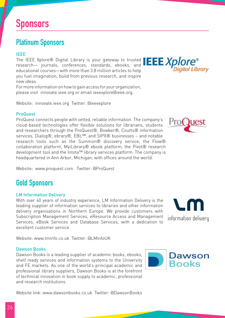## Platinum Sponsors

### IEEE

The IEEE Xplore® Digital Library is your gateway to trusted  $\mathsf{IEEXplore}^*$ research— journals, conferences, standards, ebooks, and educational courses—with more than 3.8 million articles to help you fuel imagination, build from previous research, and inspire new ideas.

For more information on how to gain access for your organization, please visit innovate.ieee.org or email ieeexplore@ieee.org.

Website: innovate.ieee.org Twitter: @ieeexplore

### ProQuest

ProQuest connects people with vetted, reliable information. The company's cloud-based technologies offer flexible solutions for librarians, students and researchers through the ProQuest®, Bowker®, Coutts® information services, Dialog®, ebrary®, EBL™, and SIPX® businesses – and notable research tools such as the Summon® discovery service, the Flow® collaboration platform, MyiLibrary® ebook platform, the Pivot® research development tool and the Intota™ library services platform. The company is headquartered in Ann Arbor, Michigan, with offices around the world.

Website: www.proquest.com Twitter: @ProQuest

## Gold Sponsors

#### LM Information Delivery

With over 40 years of industry experience, LM Information Delivery is the leading supplier of information services to libraries and other information delivery organisations in Northern Europe. We provide customers with Subscription Management Services, eResource Access and Management Services, eBook Services and Database Services, with a dedication to excellent customer service.

Website: www.lminfo.co.uk Twitter: @LMinfoUK

#### Dawson Books

Dawson Books is a leading supplier of academic books, ebooks, shelf ready services and information systems to the University and FE markets. As one of the world's principal academic and professional library suppliers, Dawson Books is at the forefront of technical innovation in book supply to academic, professional and research institutions.

Website link: www.dawsonbooks.co.uk Twitter: @DawsonBooks







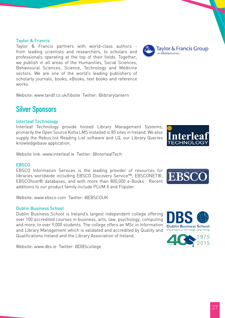#### Taylor & Francis

Taylor & Francis partners with world-class authors from leading scientists and researchers, to scholars and professionals operating at the top of their fields. Together, we publish in all areas of the Humanities, Social Sciences, Behavioural Sciences, Science, Technology and Medicine sectors. We are one of the world's leading publishers of scholarly journals, books, eBooks, text books and reference works.

Website: www.tandf.co.uk/libsite Twitter: @librarylantern

# Silver Sponsors

### Interleaf Technology

Interleaf Technology provide hosted Library Management Systems, primarily the Open Source Koha LMS installed in 85 sites in Ireland. We also supply the Rebus:list Reading List software and LQ, our Library Queries knowledgebase application.

Website link: www.interleaf.ie Twitter: @InterleafTech

#### **FBSCO**

EBSCO Information Services is the leading provider of resources for libraries worldwide including EBSCO Discovery Service™, EBSCONET®, EBSCOhost® databases, and with more than 800,000 e-Books. Recent additions to our product family include PLUM X and Flipster.

Website: www.ebsco.com Twitter: @EBSCOUK

### Dublin Business School

Dublin Business School is Ireland's largest independent college offering over 100 accredited courses in business, arts, law, psychology, computing and more, to over 9,000 students. The college offers an MSc in Information and Library Management which is validated and accredited by Quality and Qualifications Ireland and the Library Association of Ireland.

Website: www.dbs.ie Twitter: @DBScollege